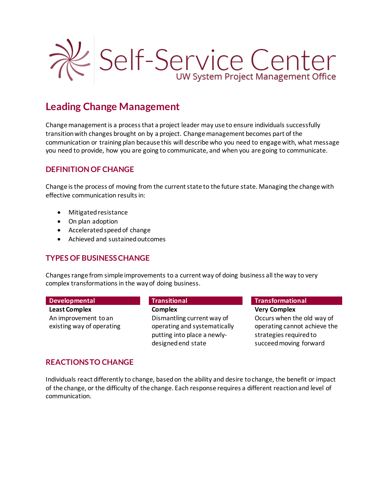

# **Leading Change Management**

Change management is a process that a project leader may use to ensure individuals successfully transition with changes brought on by a project. Change management becomes part of the communication or training plan because this will describe who you need to engage with, what message you need to provide, how you are going to communicate, and when you are going to communicate.

# **DEFINITION OF CHANGE**

Change is the process of moving from the current state to the future state. Managing the change with effective communication results in:

- Mitigated resistance
- On plan adoption
- Accelerated speed of change
- Achieved and sustained outcomes

# **TYPES OF BUSINESS CHANGE**

Changes range from simple improvements to a current way of doing business all the way to very complex transformations in the way of doing business.

**Least Complex** An improvement to an existing way of operating

**Complex** Dismantling current way of operating and systematically putting into place a newlydesigned end state

#### **Developmental Transitional Transformational**

**Very Complex** Occurs when the old way of operating cannot achieve the strategies required to succeed moving forward

# **REACTIONS TO CHANGE**

Individuals react differently to change, based on the ability and desire to change, the benefit or impact of the change, or the difficulty of the change. Each response requires a different reaction and level of communication.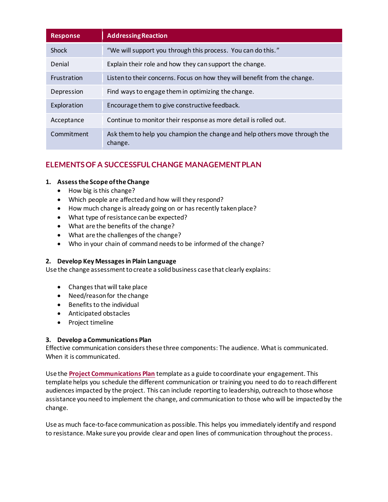| <b>Response</b> | <b>Addressing Reaction</b>                                                           |
|-----------------|--------------------------------------------------------------------------------------|
| <b>Shock</b>    | "We will support you through this process. You can do this."                         |
| Denial          | Explain their role and how they can support the change.                              |
| Frustration     | Listen to their concerns. Focus on how they will benefit from the change.            |
| Depression      | Find ways to engage them in optimizing the change.                                   |
| Exploration     | Encourage them to give constructive feedback.                                        |
| Acceptance      | Continue to monitor their response as more detail is rolled out.                     |
| Commitment      | Ask them to help you champion the change and help others move through the<br>change. |

# **ELEMENTS OF A SUCCESSFUL CHANGE MANAGEMENT PLAN**

### **1. Assess the Scope of the Change**

- How big is this change?
- Which people are affected and how will they respond?
- How much change is already going on or has recently taken place?
- What type of resistance can be expected?
- What are the benefits of the change?
- What are the challenges of the change?
- Who in your chain of command needs to be informed of the change?

#### **2. Develop Key Messages in Plain Language**

Use the change assessment to create a solid business case that clearly explains:

- Changes that will take place
- Need/reason for the change
- Benefits to the individual
- Anticipated obstacles
- Project timeline

#### **3. Develop a Communications Plan**

Effective communication considers these three components: The audience. What is communicated. When it is communicated.

Use the **Project [Communications Plan](https://www.wisconsin.edu/pmo/download/Project-Communications-Plan.docx)** template as a guide to coordinate your engagement. This template helps you schedule the different communication or training you need to do to reach different audiences impacted by the project. This can include reporting to leadership, outreach to those whose assistance you need to implement the change, and communication to those who will be impacted by the change.

Use as much face-to-face communication as possible. This helps you immediately identify and respond to resistance. Make sure you provide clear and open lines of communication throughout the process.